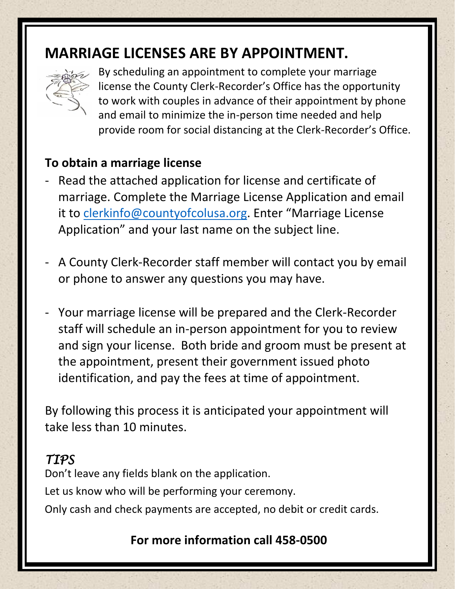# **MARRIAGE LICENSES ARE BY APPOINTMENT.**



 By scheduling an appointment to complete your marriage license the County Clerk-Recorder's Office has the opportunity to work with couples in advance of their appointment by phone and email to minimize the in-person time needed and help provide room for social distancing at the Clerk-Recorder's Office.

### **To obtain a marriage license**

- Read the attached application for license and certificate of marriage. Complete the Marriage License Application and email it to [clerkinfo@countyofcolusa.org](mailto:clerkinfo@countyofcolusa.org). Enter "Marriage License Application" and your last name on the subject line.
- A County Clerk-Recorder staff member will contact you by email or phone to answer any questions you may have.
- Your marriage license will be prepared and the Clerk-Recorder staff will schedule an in-person appointment for you to review and sign your license. Both bride and groom must be present at the appointment, present their government issued photo identification, and pay the fees at time of appointment.

By following this process it is anticipated your appointment will take less than 10 minutes.

## *TIPS*

Don't leave any fields blank on the application. Let us know who will be performing your ceremony. Only cash and check payments are accepted, no debit or credit cards.

### **For more information call 458-0500**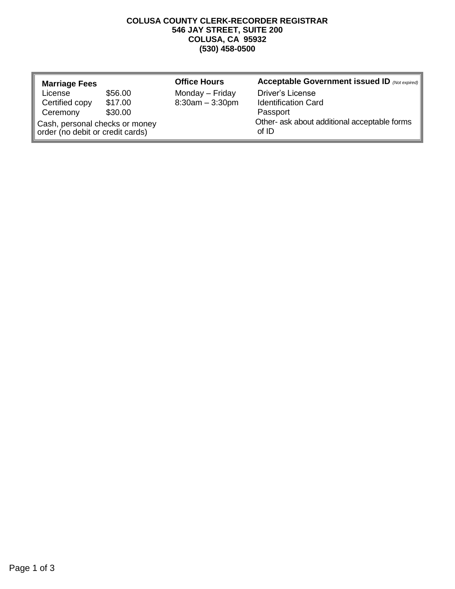#### **COLUSA COUNTY CLERK-RECORDER REGISTRAR 546 JAY STREET, SUITE 200 COLUSA, CA 95932 (530) 458-0500**

| <b>Marriage Fees</b>                                               |         | <b>Office Hours</b> | Acceptable Government issued ID (Not expired)         |
|--------------------------------------------------------------------|---------|---------------------|-------------------------------------------------------|
| License                                                            | \$56.00 | Monday - Friday     | <b>Driver's License</b>                               |
| Certified copy                                                     | \$17.00 | $8:30am - 3:30pm$   | <b>Identification Card</b>                            |
| Ceremony                                                           | \$30.00 |                     | Passport                                              |
| Cash, personal checks or money<br>order (no debit or credit cards) |         |                     | Other- ask about additional acceptable forms<br>of ID |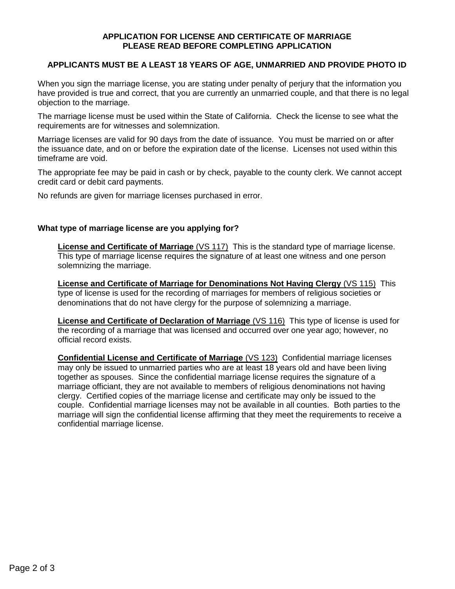#### **APPLICATION FOR LICENSE AND CERTIFICATE OF MARRIAGE PLEASE READ BEFORE COMPLETING APPLICATION**

#### **APPLICANTS MUST BE A LEAST 18 YEARS OF AGE, UNMARRIED AND PROVIDE PHOTO ID**

When you sign the marriage license, you are stating under penalty of perjury that the information you have provided is true and correct, that you are currently an unmarried couple, and that there is no legal objection to the marriage.

The marriage license must be used within the State of California. Check the license to see what the requirements are for witnesses and solemnization.

Marriage licenses are valid for 90 days from the date of issuance. You must be married on or after the issuance date, and on or before the expiration date of the license. Licenses not used within this timeframe are void.

The appropriate fee may be paid in cash or by check, payable to the county clerk. We cannot accept credit card or debit card payments.

No refunds are given for marriage licenses purchased in error.

#### **What type of marriage license are you applying for?**

**License and Certificate of Marriage** (VS 117) This is the standard type of marriage license. This type of marriage license requires the signature of at least one witness and one person solemnizing the marriage.

**License and Certificate of Marriage for Denominations Not Having Clergy** (VS 115) This type of license is used for the recording of marriages for members of religious societies or denominations that do not have clergy for the purpose of solemnizing a marriage.

**License and Certificate of Declaration of Marriage** (VS 116) This type of license is used for the recording of a marriage that was licensed and occurred over one year ago; however, no official record exists.

**Confidential License and Certificate of Marriage** (VS 123) Confidential marriage licenses may only be issued to unmarried parties who are at least 18 years old and have been living together as spouses. Since the confidential marriage license requires the signature of a marriage officiant, they are not available to members of religious denominations not having clergy. Certified copies of the marriage license and certificate may only be issued to the couple. Confidential marriage licenses may not be available in all counties. Both parties to the marriage will sign the confidential license affirming that they meet the requirements to receive a confidential marriage license.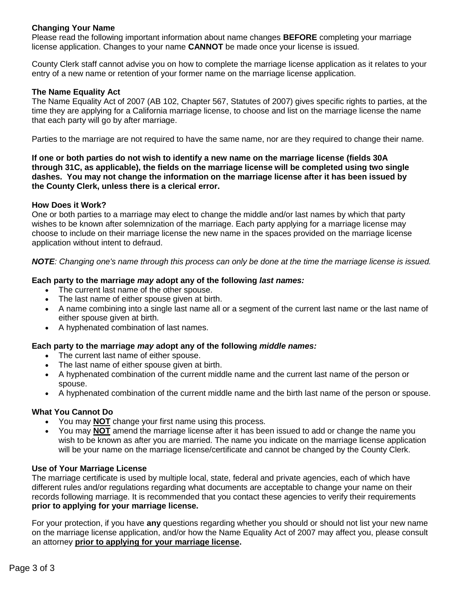#### **Changing Your Name**

Please read the following important information about name changes **BEFORE** completing your marriage license application. Changes to your name **CANNOT** be made once your license is issued.

County Clerk staff cannot advise you on how to complete the marriage license application as it relates to your entry of a new name or retention of your former name on the marriage license application.

#### **The Name Equality Act**

The Name Equality Act of 2007 (AB 102, Chapter 567, Statutes of 2007) gives specific rights to parties, at the time they are applying for a California marriage license, to choose and list on the marriage license the name that each party will go by after marriage.

Parties to the marriage are not required to have the same name, nor are they required to change their name.

**If one or both parties do not wish to identify a new name on the marriage license (fields 30A through 31C, as applicable), the fields on the marriage license will be completed using two single dashes. You may not change the information on the marriage license after it has been issued by the County Clerk, unless there is a clerical error.**

#### **How Does it Work?**

One or both parties to a marriage may elect to change the middle and/or last names by which that party wishes to be known after solemnization of the marriage. Each party applying for a marriage license may choose to include on their marriage license the new name in the spaces provided on the marriage license application without intent to defraud.

#### *NOTE: Changing one's name through this process can only be done at the time the marriage license is issued.*

#### **Each party to the marriage** *may* **adopt any of the following** *last names:*

- The current last name of the other spouse.
- The last name of either spouse given at birth.
- A name combining into a single last name all or a segment of the current last name or the last name of either spouse given at birth.
- A hyphenated combination of last names.

#### **Each party to the marriage** *may* **adopt any of the following** *middle names:*

- The current last name of either spouse.
- The last name of either spouse given at birth.
- A hyphenated combination of the current middle name and the current last name of the person or spouse.
- A hyphenated combination of the current middle name and the birth last name of the person or spouse.

#### **What You Cannot Do**

- You may **NOT** change your first name using this process.
- You may **NOT** amend the marriage license after it has been issued to add or change the name you wish to be known as after you are married. The name you indicate on the marriage license application will be your name on the marriage license/certificate and cannot be changed by the County Clerk.

#### **Use of Your Marriage License**

The marriage certificate is used by multiple local, state, federal and private agencies, each of which have different rules and/or regulations regarding what documents are acceptable to change your name on their records following marriage. It is recommended that you contact these agencies to verify their requirements **prior to applying for your marriage license.**

For your protection, if you have **any** questions regarding whether you should or should not list your new name on the marriage license application, and/or how the Name Equality Act of 2007 may affect you, please consult an attorney **prior to applying for your marriage license.**